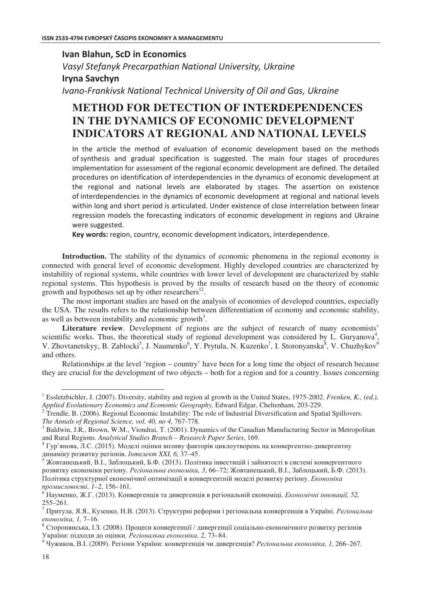**Ivan Blahun, ScD in Economics** Vasyl Stefanyk Precarpathian National University, Ukraine **Iryna Savchyn** Ivano-Frankivsk National Technical University of Oil and Gas, Ukraine

## **METHOD FOR DETECTION OF INTERDEPENDENCES IN THE DYNAMICS OF ECONOMIC DEVELOPMENT INDICATORS AT REGIONAL AND NATIONAL LEVELS**

In the article the method of evaluation of economic development based on the methods of synthesis and gradual specification is suggested. The main four stages of procedures implementation for assessment of the regional economic development are defined. The detailed procedures on identification of interdependencies in the dynamics of economic development at the regional and national levels are elaborated by stages. The assertion on existence of interdependencies in the dynamics of economic development at regional and national levels within long and short period is articulated. Under existence of close interrelation between linear regression models the forecasting indicators of economic development in regions and Ukraine were suggested.

Key words: region, country, economic development indicators, interdependence.

**Introduction.** The stability of the dynamics of economic phenomena in the regional economy is connected with general level of economic development. Highly developed countries are characterized by instability of regional systems, while countries with lower level of development are characterized by stable regional systems. This hypothesis is proved by the results of research based on the theory of economic growth and hypotheses set up by other researchers $^{12}$ .

The most important studies are based on the analysis of economies of developed countries, especially the USA. The results refers to the relationship between differentiation of economy and economic stability, as well as between instability and economic growth<sup>3</sup>.

**Literature review**. Development of regions are the subject of research of many economists' scientific works. Thus, the theoretical study of regional development was considered by L. Guryanova<sup>4</sup>, , V. Zhovtanetskyy, B. Zablocki<sup>5</sup>, J. Naumenko<sup>6</sup>, Y. Prytula, N. Kuzenko<sup>7</sup>, I. Storonyanska<sup>8</sup>, V. Chuzhykov<sup>9</sup> and others.

Relationships at the level 'region – country' have been for a long time the object of research because they are crucial for the development of two objects – both for a region and for a country. Issues concerning

 $\overline{a}$ 

<sup>&</sup>lt;sup>1</sup> Essletzbichler, J. (2007). Diversity, stability and region al growth in the United States, 1975-2002. *Frenken, K., (ed.), Applied Evolutionary Economics and Economic Geography,* Edward Edgar, Cheltenham, 203-229.

<sup>2</sup> Trendle, B. (2006). Regional Economic Instability: The role of Industrial Diversification and Spatial Spillovers. *The Annals of Regional Science, vol. 40, no 4*, 767-778.

<sup>&</sup>lt;sup>3</sup> Baldwin, J.R., Brown, W.M., Viondrai, T. (2001). Dynamics of the Canadian Manufacturing Sector in Metropolitan and Rural Regions. *Analytical Studies Branch – Research Paper Series*, 169.

 $^4$  Гур'янова, Л.С. (2015). Моделі оцінки впливу факторів циклоутворень на конвергентно-дивергентну динаміку розвитку регіонів. Інтелект XXI, 6, 37-45.

 $^5$  Жовтанецький, В.І., Заблоцький, Б.Ф. (2013). Політика інвестицій і зайнятості в системі конвергентного розвитку економіки регіону. *Регіональна економіка, 3,* 66–72; Жовтанецький, В.І., Заблоцький, Б.Ф. (2013). Політика структурної економічної оптимізації в конвергентній моделі розвитку регіону. *Економіка* промисловості, 1-2, 156-161.

 $^6$ Науменко, Ж.Г. (2013). Конвергенція та дивергенція в регіональній економіці. *Економічні інновації, 52*, 255–261.

 $^7$  Притула, Я.Я., Кузенко, Н.В. (2013). Структурні реформи і регіональна конвергенція в Україні. *Регіональна* економіка, 1, 7–16.

 $^8$  Сторонянська, І.З. (2008). Процеси конвергенції / дивергенції соціально-економічного розвитку регіонів України: підходи до оцінки. Регіональна економіка, 2, 73-84.

<sup>&</sup>lt;sup>9</sup> Чужиков, В.І. (2009). Регіони України: конвергенція чи дивергенція? *Регіональна економіка, 1,* 266–267.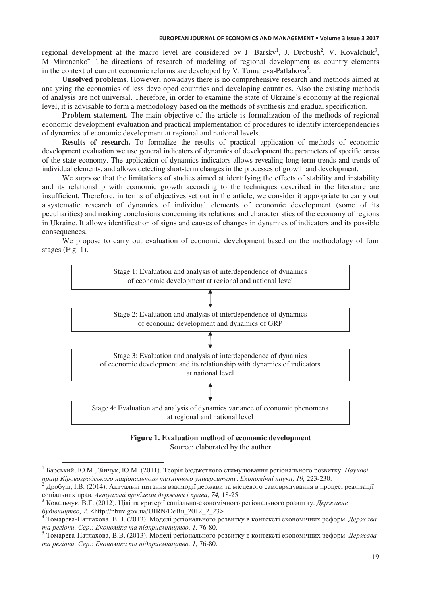regional development at the macro level are considered by J. Barsky<sup>1</sup>, J. Drobush<sup>2</sup>, V. Kovalchuk<sup>3</sup>, M. Mironenko<sup>4</sup>. The directions of research of modeling of regional development as country elements in the context of current economic reforms are developed by V. Tomareva-Patlahova<sup>5</sup>.

**Unsolved problems.** However, nowadays there is no comprehensive research and methods aimed at analyzing the economies of less developed countries and developing countries. Also the existing methods of analysis are not universal. Therefore, in order to examine the state of Ukraine's economy at the regional level, it is advisable to form a methodology based on the methods of synthesis and gradual specification.

**Problem statement.** The main objective of the article is formalization of the methods of regional economic development evaluation and practical implementation of procedures to identify interdependencies of dynamics of economic development at regional and national levels.

**Results of research.** To formalize the results of practical application of methods of economic development evaluation we use general indicators of dynamics of development the parameters of specific areas of the state economy. The application of dynamics indicators allows revealing long-term trends and trends of individual elements, and allows detecting short-term changes in the processes of growth and development.

We suppose that the limitations of studies aimed at identifying the effects of stability and instability and its relationship with economic growth according to the techniques described in the literature are insufficient. Therefore, in terms of objectives set out in the article, we consider it appropriate to carry out a systematic research of dynamics of individual elements of economic development (some of its peculiarities) and making conclusions concerning its relations and characteristics of the economy of regions in Ukraine. It allows identification of signs and causes of changes in dynamics of indicators and its possible consequences.

We propose to carry out evaluation of economic development based on the methodology of four stages (Fig. 1).



**Figure 1. Evaluation method of economic development** Source: elaborated by the author

 $\overline{a}$ 

 $^1$  Барський, Ю.М., Зінчук, Ю.М. (2011). Теорія бюджетного стимулювання регіонального розвитку. *Наукові npaці Кіровоградського національного технічного університету. Економічні науки, 19, 223-230.* 

 $^2$ Дробуш, І.В. (2014). Актуальні питання взаємодії держави та місцевого самоврядування в процесі реалізації  $\alpha$ еоціальних прав. Актуальні проблеми держави і права, 74, 18-25.

<sup>&</sup>lt;sup>3</sup> Ковальчук, В.Г. (2012). Цілі та критерії соціально-економічного регіонального розвитку. *Державне* будівництво, 2. <http://nbuv.gov.ua/UJRN/DeBu\_2012\_2\_23>

<sup>&</sup>lt;sup>4</sup> Томарева-Патлахова, В.В. (2013). Моделі регіонального розвитку в контексті економічних реформ. *Держава* ma регіони. Сер.: Економіка та підприємництво, 1, 76-80.

 $^5$  Томарева-Патлахова, В.В. (2013). Моделі регіонального розвитку в контексті економічних реформ. *Держава* ma регіони. Сер.: Економіка та підприємництво, 1, 76-80.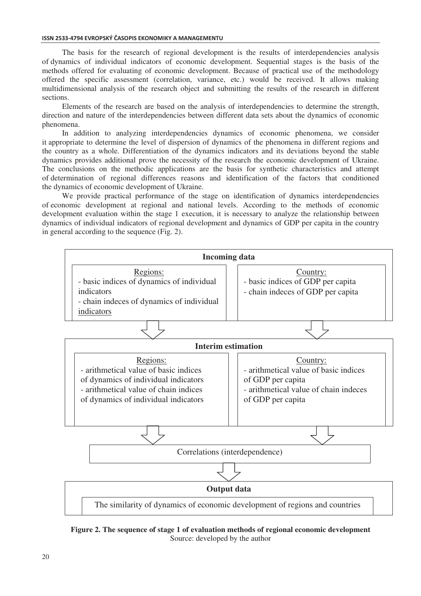The basis for the research of regional development is the results of interdependencies analysis of dynamics of individual indicators of economic development. Sequential stages is the basis of the methods offered for evaluating of economic development. Because of practical use of the methodology offered the specific assessment (correlation, variance, etc.) would be received. It allows making multidimensional analysis of the research object and submitting the results of the research in different sections.

Elements of the research are based on the analysis of interdependencies to determine the strength, direction and nature of the interdependencies between different data sets about the dynamics of economic phenomena.

In addition to analyzing interdependencies dynamics of economic phenomena, we consider it appropriate to determine the level of dispersion of dynamics of the phenomena in different regions and the country as a whole. Differentiation of the dynamics indicators and its deviations beyond the stable dynamics provides additional prove the necessity of the research the economic development of Ukraine. The conclusions on the methodic applications are the basis for synthetic characteristics and attempt of determination of regional differences reasons and identification of the factors that conditioned the dynamics of economic development of Ukraine.

We provide practical performance of the stage on identification of dynamics interdependencies of economic development at regional and national levels. According to the methods of economic development evaluation within the stage 1 execution, it is necessary to analyze the relationship between dynamics of individual indicators of regional development and dynamics of GDP per capita in the country in general according to the sequence (Fig. 2).



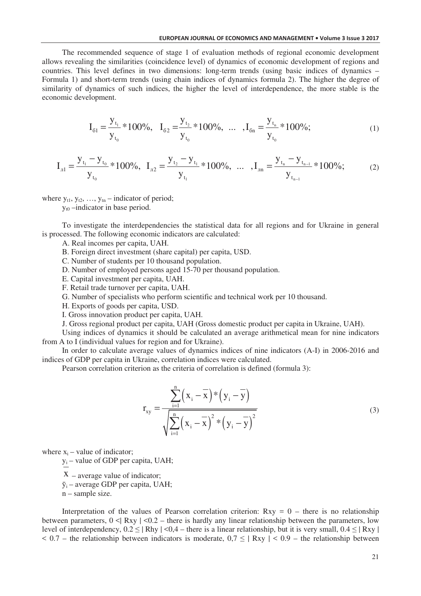## EUROPEAN JOURNAL OF ECONOMICS AND MANAGEMENT . Volume 3 Issue 3 2017

The recommended sequence of stage 1 of evaluation methods of regional economic development allows revealing the similarities (coincidence level) of dynamics of economic development of regions and countries. This level defines in two dimensions: long-term trends (using basic indices of dynamics – Formula 1) and short-term trends (using chain indices of dynamics formula 2). The higher the degree of similarity of dynamics of such indices, the higher the level of interdependence, the more stable is the economic development.

$$
I_{61} = \frac{y_{t_1}}{y_{t_0}} * 100\%, \quad I_{62} = \frac{y_{t_2}}{y_{t_0}} * 100\%, \quad \dots \quad, I_{6n} = \frac{y_{t_n}}{y_{t_0}} * 100\%; \tag{1}
$$

$$
I_{\text{m1}} = \frac{y_{t_1} - y_{t_0}}{y_{t_0}} * 100\%, \quad I_{\text{m2}} = \frac{y_{t_2} - y_{t_1}}{y_{t_1}} * 100\%, \quad \dots \quad, I_{\text{m1}} = \frac{y_{t_n} - y_{t_{n-1}}}{y_{t_{n-1}}} * 100\%; \tag{2}
$$

where  $y_{t1}$ ,  $y_{t2}$ , ...,  $y_{tn}$  – indicator of period;

 $y_{t0}$  –indicator in base period.

To investigate the interdependencies the statistical data for all regions and for Ukraine in general is processed. The following economic indicators are calculated:

A. Real incomes per capita, UAH.

B. Foreign direct investment (share capital) per capita, USD.

C. Number of students per 10 thousand population.

D. Number of employed persons aged 15-70 per thousand population.

E. Capital investment per capita, UAH.

F. Retail trade turnover per capita, UAH.

G. Number of specialists who perform scientific and technical work per 10 thousand.

H. Exports of goods per capita, USD.

I. Gross innovation product per capita, UAH.

J. Gross regional product per capita, UAH (Gross domestic product per capita in Ukraine, UAH).

Using indices of dynamics it should be calculated an average arithmetical mean for nine indicators from A to I (individual values for region and for Ukraine).

In order to calculate average values of dynamics indices of nine indicators (A-I) in 2006-2016 and indices of GDP per capita in Ukraine, correlation indices were calculated.

Pearson correlation criterion as the criteria of correlation is defined (formula 3):

$$
r_{xy} = \frac{\sum_{i=1}^{n} (x_i - \overline{x})^* (y_i - \overline{y})}{\sqrt{\sum_{i=1}^{n} (x_i - \overline{x})^2 * (y_i - \overline{y})^2}}
$$
(3)

where  $x_i$  – value of indicator;

y – value of GDP per capita, UAH;

 $X$  – average value of indicator;

 $\bar{y}_i$  – average GDP per capita, UAH;

n – sample size.

Interpretation of the values of Pearson correlation criterion:  $Rxy = 0$  – there is no relationship between parameters,  $0 \leq |\text{Rxy}| \leq 0.2$  – there is hardly any linear relationship between the parameters, low level of interdependency,  $0.2 \leq |\text{Rhy }| \leq 0.4$  – there is a linear relationship, but it is very small,  $0.4 \leq |\text{Rxy }|$  $< 0.7$  – the relationship between indicators is moderate,  $0.7 \leq |Rxy| \leq 0.9$  – the relationship between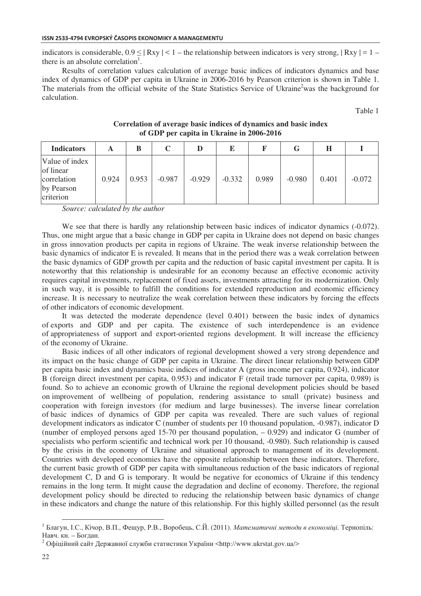indicators is considerable,  $0.9 \leq |Rxy| < 1$  – the relationship between indicators is very strong,  $|Rxy| = 1$  – there is an absolute correlation<sup>1</sup>.

Results of correlation values calculation of average basic indices of indicators dynamics and base index of dynamics of GDP per capita in Ukraine in 2006-2016 by Pearson criterion is shown in Table 1. The materials from the official website of the State Statistics Service of Ukraine<sup>2</sup>was the background for calculation.

Table 1

| <b>Indicators</b>                                                     |       | B     | C        |          | Е        |       | G        | Н     |          |
|-----------------------------------------------------------------------|-------|-------|----------|----------|----------|-------|----------|-------|----------|
| Value of index<br>of linear<br>correlation<br>by Pearson<br>criterion | 0.924 | 0.953 | $-0.987$ | $-0.929$ | $-0.332$ | 0.989 | $-0.980$ | 0.401 | $-0.072$ |

**Correlation of average basic indices of dynamics and basic index of GDP per capita in Ukraine in 2006-2016** 

*Source: calculated by the author* 

We see that there is hardly any relationship between basic indices of indicator dynamics (-0.072). Thus, one might argue that a basic change in GDP per capita in Ukraine does not depend on basic changes in gross innovation products per capita in regions of Ukraine. The weak inverse relationship between the basic dynamics of indicator E is revealed. It means that in the period there was a weak correlation between the basic dynamics of GDP growth per capita and the reduction of basic capital investment per capita. It is noteworthy that this relationship is undesirable for an economy because an effective economic activity requires capital investments, replacement of fixed assets, investments attracting for its modernization. Only in such way, it is possible to fulfill the conditions for extended reproduction and economic efficiency increase. It is necessary to neutralize the weak correlation between these indicators by forcing the effects of other indicators of economic development.

It was detected the moderate dependence (level 0.401) between the basic index of dynamics of exports and GDP and per capita. The existence of such interdependence is an evidence of appropriateness of support and export-oriented regions development. It will increase the efficiency of the economy of Ukraine.

Basic indices of all other indicators of regional development showed a very strong dependence and its impact on the basic change of GDP per capita in Ukraine. The direct linear relationship between GDP per capita basic index and dynamics basic indices of indicator A (gross income per capita, 0.924), indicator B (foreign direct investment per capita, 0.953) and indicator F (retail trade turnover per capita, 0.989) is found. So to achieve an economic growth of Ukraine the regional development policies should be based on improvement of wellbeing of population, rendering assistance to small (private) business and cooperation with foreign investors (for medium and large businesses). The inverse linear correlation of basic indices of dynamics of GDP per capita was revealed. There are such values of regional development indicators as indicator C (number of students per 10 thousand population, -0.987), indicator D (number of employed persons aged 15-70 per thousand population, – 0.929) and indicator G (number of specialists who perform scientific and technical work per 10 thousand, -0.980). Such relationship is caused by the crisis in the economy of Ukraine and situational approach to management of its development. Countries with developed economies have the opposite relationship between these indicators. Therefore, the current basic growth of GDP per capita with simultaneous reduction of the basic indicators of regional development C, D and G is temporary. It would be negative for economics of Ukraine if this tendency remains in the long term. It might cause the degradation and decline of economy. Therefore, the regional development policy should be directed to reducing the relationship between basic dynamics of change in these indicators and change the nature of this relationship. For this highly skilled personnel (as the result

 $\overline{a}$ 

<sup>&</sup>lt;sup>1</sup> Благун, І.С., Кічор, В.П., Фещур, Р.В., Воробець, С.Й. (2011). *Математичні методи в економіці*. Тернопіль: Навч. кн. – Богдан.

 $^2$ Офіційний сайт Державної служби статистики України <http://www.ukrstat.gov.ua/>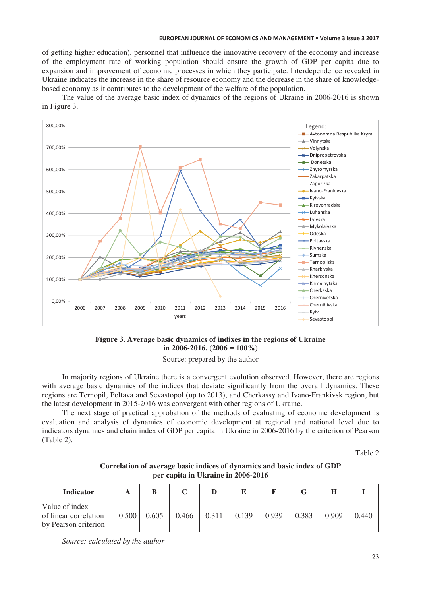of getting higher education), personnel that influence the innovative recovery of the economy and increase of the employment rate of working population should ensure the growth of GDP per capita due to expansion and improvement of economic processes in which they participate. Interdependence revealed in Ukraine indicates the increase in the share of resource economy and the decrease in the share of knowledgebased economy as it contributes to the development of the welfare of the population.

The value of the average basic index of dynamics of the regions of Ukraine in 2006-2016 is shown in Figure 3.



## **Figure 3. Average basic dynamics of indixes in the regions of Ukraine in 2006-2016. (2006 = 100%)**

Source: prepared by the author

In majority regions of Ukraine there is a convergent evolution observed. However, there are regions with average basic dynamics of the indices that deviate significantly from the overall dynamics. These regions are Ternopil, Poltava and Sevastopol (up to 2013), and Cherkassy and Ivano-Frankivsk region, but the latest development in 2015-2016 was convergent with other regions of Ukraine.

The next stage of practical approbation of the methods of evaluating of economic development is evaluation and analysis of dynamics of economic development at regional and national level due to indicators dynamics and chain index of GDP per capita in Ukraine in 2006-2016 by the criterion of Pearson (Table 2).

Table 2

| Correlation of average basic indices of dynamics and basic index of GDP |  |
|-------------------------------------------------------------------------|--|
| per capita in Ukraine in 2006-2016                                      |  |

| <b>Indicator</b>                                                |       |       |       |       |       |       |       |       |       |
|-----------------------------------------------------------------|-------|-------|-------|-------|-------|-------|-------|-------|-------|
| Value of index<br>of linear correlation<br>by Pearson criterion | 0.500 | 0.605 | 0.466 | 0.311 | 0.139 | 0.939 | 0.383 | 0.909 | 0.440 |

*Source: calculated by the author*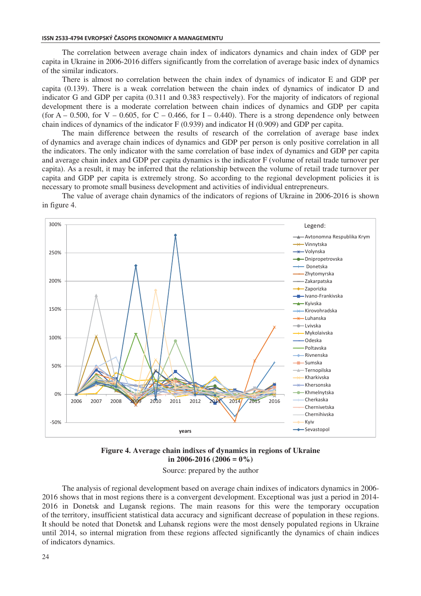The correlation between average chain index of indicators dynamics and chain index of GDP per capita in Ukraine in 2006-2016 differs significantly from the correlation of average basic index of dynamics of the similar indicators.

There is almost no correlation between the chain index of dynamics of indicator E and GDP per capita (0.139). There is a weak correlation between the chain index of dynamics of indicator D and indicator G and GDP per capita (0.311 and 0.383 respectively). For the majority of indicators of regional development there is a moderate correlation between chain indices of dynamics and GDP per capita (for  $A - 0.500$ , for  $V - 0.605$ , for  $C - 0.466$ , for  $I - 0.440$ ). There is a strong dependence only between chain indices of dynamics of the indicator  $F(0.939)$  and indicator  $H(0.909)$  and GDP per capita.

The main difference between the results of research of the correlation of average base index of dynamics and average chain indices of dynamics and GDP per person is only positive correlation in all the indicators. The only indicator with the same correlation of base index of dynamics and GDP per capita and average chain index and GDP per capita dynamics is the indicator F (volume of retail trade turnover per capita). As a result, it may be inferred that the relationship between the volume of retail trade turnover per capita and GDP per capita is extremely strong. So according to the regional development policies it is necessary to promote small business development and activities of individual entrepreneurs.

The value of average chain dynamics of the indicators of regions of Ukraine in 2006-2016 is shown in figure 4.



Figure 4. Average chain indixes of dynamics in regions of Ukraine in 2006-2016 (2006 =  $0\%$ )

Source: prepared by the author

The analysis of regional development based on average chain indixes of indicators dynamics in 2006-2016 shows that in most regions there is a convergent development. Exceptional was just a period in 2014-2016 in Donetsk and Lugansk regions. The main reasons for this were the temporary occupation of the territory, insufficient statistical data accuracy and significant decrease of population in these regions. It should be noted that Donetsk and Luhansk regions were the most densely populated regions in Ukraine until 2014, so internal migration from these regions affected significantly the dynamics of chain indices of indicators dynamics.